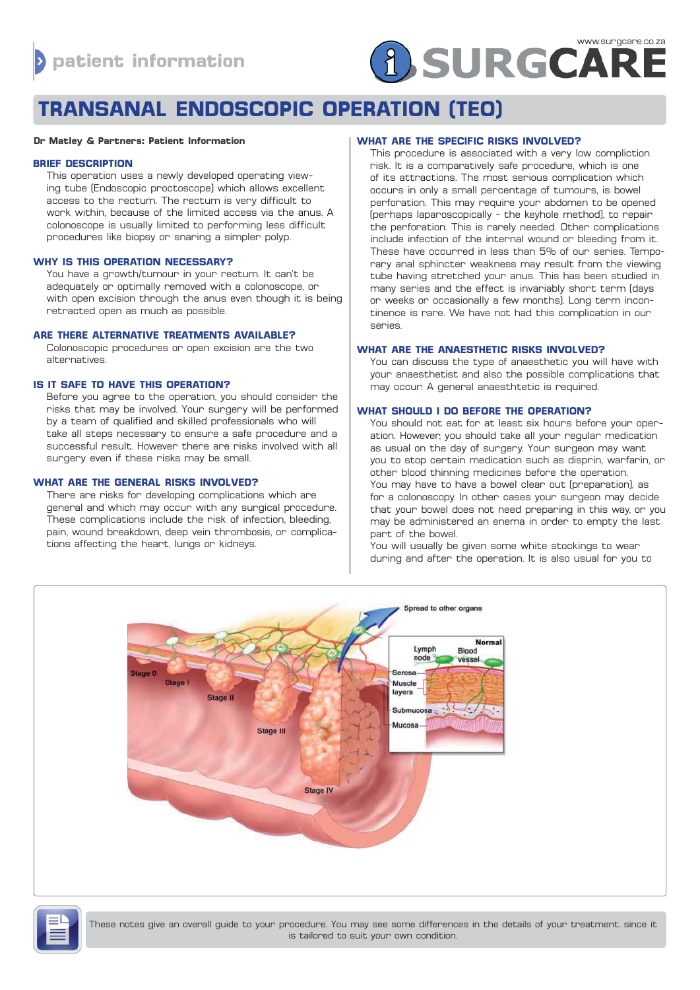# **A SURGCARE**

# **TRANSANAL ENDOSCOPIC OPERATION (TEO)**

#### **Dr Matley & Partners: Patient Information**

# **BRIEF DESCRIPTION**

This operation uses a newly developed operating viewing tube (Endoscopic proctoscope) which allows excellent access to the rectum. The rectum is very difficult to work within, because of the limited access via the anus. A colonoscope is usually limited to performing less difficult procedures like biopsy or snaring a simpler polyp.

### **WHY IS THIS OPERATION NECESSARY?**

You have a growth/tumour in your rectum. It can't be adequately or optimally removed with a colonoscope, or with open excision through the anus even though it is being retracted open as much as possible.

# **ARE THERE ALTERNATIVE TREATMENTS AVAILABLE?**

Colonoscopic procedures or open excision are the two alternatives.

# **IS IT SAFE TO HAVE THIS OPERATION?**

Before you agree to the operation, you should consider the risks that may be involved. Your surgery will be performed by a team of qualified and skilled professionals who will take all steps necessary to ensure a safe procedure and a successful result. However there are risks involved with all surgery even if these risks may be small.

# **WHAT ARE THE GENERAL RISKS INVOLVED?**

There are risks for developing complications which are general and which may occur with any surgical procedure. These complications include the risk of infection, bleeding, pain, wound breakdown, deep vein thrombosis, or complications affecting the heart, lungs or kidneys.

# **WHAT ARE THE SPECIFIC RISKS INVOLVED?**

This procedure is associated with a very low compliction risk. It is a comparatively safe procedure, which is one of its attractions. The most serious complication which occurs in only a small percentage of tumours, is bowel perforation. This may require your abdomen to be opened (perhaps laparoscopically - the keyhole method), to repair the perforation. This is rarely needed. Other complications include infection of the internal wound or bleeding from it. These have occurred in less than 5% of our series. Temporary anal sphincter weakness may result from the viewing tube having stretched your anus. This has been studied in many series and the effect is invariably short term (days or weeks or occasionally a few months). Long term incontinence is rare. We have not had this complication in our series.

### **WHAT ARE THE ANAESTHETIC RISKS INVOLVED?**

You can discuss the type of anaesthetic you will have with your anaesthetist and also the possible complications that may occur. A general anaesthtetic is required.

# **WHAT SHOULD I DO BEFORE THE OPERATION?**

You should not eat for at least six hours before your operation. However, you should take all your regular medication as usual on the day of surgery. Your surgeon may want you to stop certain medication such as disprin, warfarin, or other blood thinning medicines before the operation. You may have to have a bowel clear out (preparation), as for a colonoscopy. In other cases your surgeon may decide that your bowel does not need preparing in this way, or you may be administered an enema in order to empty the last part of the bowel.

You will usually be given some white stockings to wear during and after the operation. It is also usual for you to



These notes give an overall guide to your procedure. You may see some differences in the details of your treatment, since it is tailored to suit your own condition.